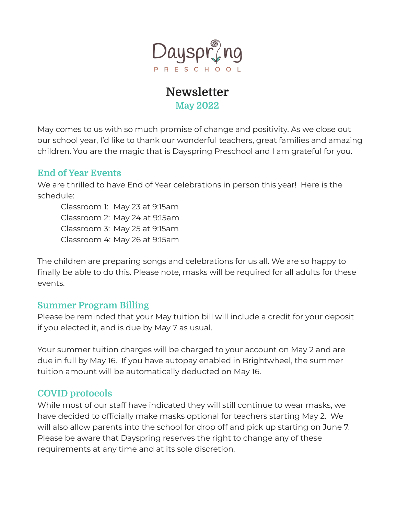

## **Newsletter May 2022**

May comes to us with so much promise of change and positivity. As we close out our school year, I'd like to thank our wonderful teachers, great families and amazing children. You are the magic that is Dayspring Preschool and I am grateful for you.

## **End of Year Events**

We are thrilled to have End of Year celebrations in person this year! Here is the schedule:

Classroom 1: May 23 at 9:15am Classroom 2: May 24 at 9:15am Classroom 3: May 25 at 9:15am Classroom 4: May 26 at 9:15am

The children are preparing songs and celebrations for us all. We are so happy to finally be able to do this. Please note, masks will be required for all adults for these events.

## **Summer Program Billing**

Please be reminded that your May tuition bill will include a credit for your deposit if you elected it, and is due by May 7 as usual.

Your summer tuition charges will be charged to your account on May 2 and are due in full by May 16. If you have autopay enabled in Brightwheel, the summer tuition amount will be automatically deducted on May 16.

## **COVID protocols**

While most of our staff have indicated they will still continue to wear masks, we have decided to officially make masks optional for teachers starting May 2. We will also allow parents into the school for drop off and pick up starting on June 7. Please be aware that Dayspring reserves the right to change any of these requirements at any time and at its sole discretion.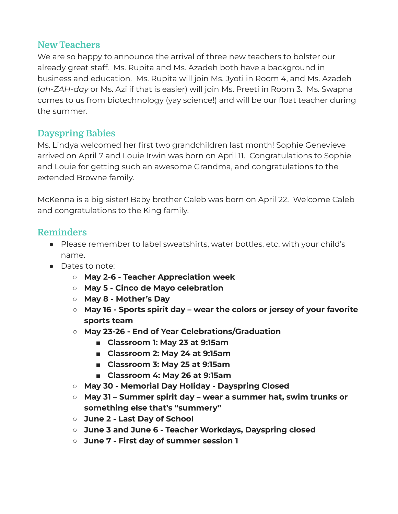## **New Teachers**

We are so happy to announce the arrival of three new teachers to bolster our already great staff. Ms. Rupita and Ms. Azadeh both have a background in business and education. Ms. Rupita will join Ms. Jyoti in Room 4, and Ms. Azadeh (*ah-ZAH-day* or Ms. Azi if that is easier) will join Ms. Preeti in Room 3. Ms. Swapna comes to us from biotechnology (yay science!) and will be our float teacher during the summer.

## **Dayspring Babies**

Ms. Lindya welcomed her first two grandchildren last month! Sophie Genevieve arrived on April 7 and Louie Irwin was born on April 11. Congratulations to Sophie and Louie for getting such an awesome Grandma, and congratulations to the extended Browne family.

McKenna is a big sister! Baby brother Caleb was born on April 22. Welcome Caleb and congratulations to the King family.

## **Reminders**

- Please remember to label sweatshirts, water bottles, etc. with your child's name.
- Dates to note:
	- **○ May 2-6 - Teacher Appreciation week**
	- **○ May 5 - Cinco de Mayo celebration**
	- **○ May 8 - Mother's Day**
	- **○ May 16 - Sports spirit day – wear the colors or jersey of your favorite sports team**
	- **○ May 23-26 - End of Year Celebrations/Graduation**
		- **■ Classroom 1: May 23 at 9:15am**
		- **■ Classroom 2: May 24 at 9:15am**
		- **■ Classroom 3: May 25 at 9:15am**
		- **■ Classroom 4: May 26 at 9:15am**
	- **○ May 30 - Memorial Day Holiday - Dayspring Closed**
	- **○ May 31 – Summer spirit day – wear a summer hat, swim trunks or something else that's "summery"**
	- **○ June 2 - Last Day of School**
	- **○ June 3 and June 6 - Teacher Workdays, Dayspring closed**
	- **○ June 7 - First day of summer session 1**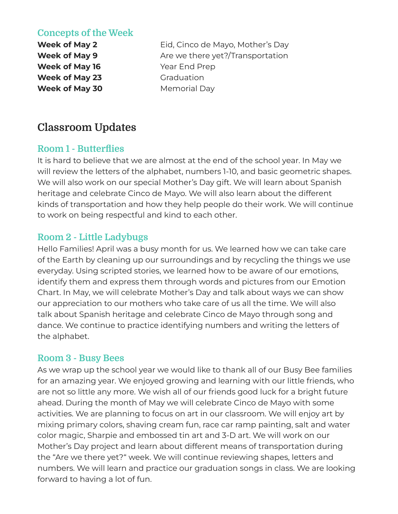## **Concepts of the Week**

**Week of May 16** Year End Prep **Week of May 23** Graduation **Week of May 30** Memorial Day

**Week of May 2** Eid, Cinco de Mayo, Mother's Day **Week of May 9** Are we there yet?/Transportation

## **Classroom Updates**

## **Room 1 - Butterflies**

It is hard to believe that we are almost at the end of the school year. In May we will review the letters of the alphabet, numbers 1-10, and basic geometric shapes. We will also work on our special Mother's Day gift. We will learn about Spanish heritage and celebrate Cinco de Mayo. We will also learn about the different kinds of transportation and how they help people do their work. We will continue to work on being respectful and kind to each other.

## **Room 2 - Little Ladybugs**

Hello Families! April was a busy month for us. We learned how we can take care of the Earth by cleaning up our surroundings and by recycling the things we use everyday. Using scripted stories, we learned how to be aware of our emotions, identify them and express them through words and pictures from our Emotion Chart. In May, we will celebrate Mother's Day and talk about ways we can show our appreciation to our mothers who take care of us all the time. We will also talk about Spanish heritage and celebrate Cinco de Mayo through song and dance. We continue to practice identifying numbers and writing the letters of the alphabet.

#### **Room 3 - Busy Bees**

As we wrap up the school year we would like to thank all of our Busy Bee families for an amazing year. We enjoyed growing and learning with our little friends, who are not so little any more. We wish all of our friends good luck for a bright future ahead. During the month of May we will celebrate Cinco de Mayo with some activities. We are planning to focus on art in our classroom. We will enjoy art by mixing primary colors, shaving cream fun, race car ramp painting, salt and water color magic, Sharpie and embossed tin art and 3-D art. We will work on our Mother's Day project and learn about different means of transportation during the "Are we there yet?" week. We will continue reviewing shapes, letters and numbers. We will learn and practice our graduation songs in class. We are looking forward to having a lot of fun.